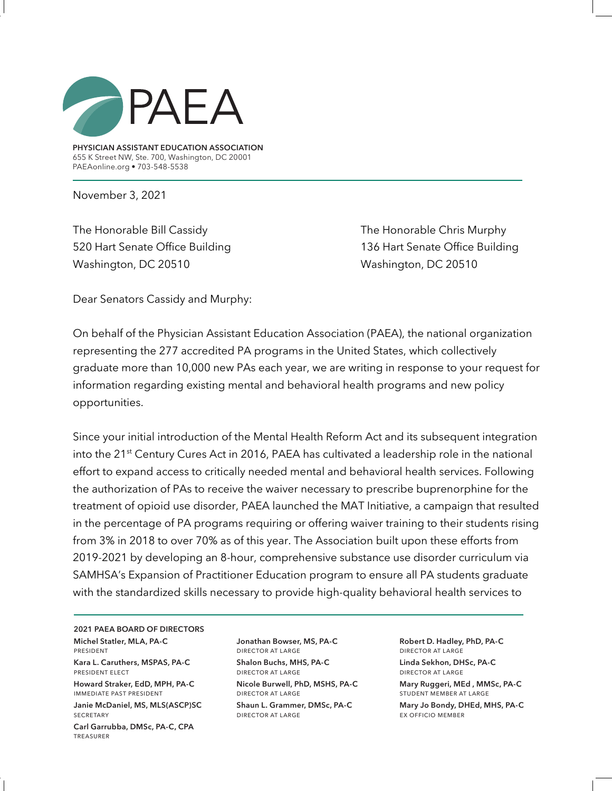

**PHYSICIAN ASSISTANT EDUCATION ASSOCIATION** 655 K Street NW, Ste. 700, Washington, DC 20001 PAEAonline.org • 703-548-5538

November 3, 2021

The Honorable Bill Cassidy The Honorable Chris Murphy 520 Hart Senate Office Building 136 Hart Senate Office Building Washington, DC 20510 Washington, DC 20510

Dear Senators Cassidy and Murphy:

On behalf of the Physician Assistant Education Association (PAEA), the national organization representing the 277 accredited PA programs in the United States, which collectively graduate more than 10,000 new PAs each year, we are writing in response to your request for information regarding existing mental and behavioral health programs and new policy opportunities.

Since your initial introduction of the Mental Health Reform Act and its subsequent integration into the 21<sup>st</sup> Century Cures Act in 2016, PAEA has cultivated a leadership role in the national effort to expand access to critically needed mental and behavioral health services. Following the authorization of PAs to receive the waiver necessary to prescribe buprenorphine for the treatment of opioid use disorder, PAEA launched the MAT Initiative, a campaign that resulted in the percentage of PA programs requiring or offering waiver training to their students rising from 3% in 2018 to over 70% as of this year. The Association built upon these efforts from 2019-2021 by developing an 8-hour, comprehensive substance use disorder curriculum via SAMHSA's Expansion of Practitioner Education program to ensure all PA students graduate with the standardized skills necessary to provide high-quality behavioral health services to

**2021 PAEA BOARD OF DIRECTORS Michel Statler, MLA, PA-C**  president

**Kara L. Caruthers, MSPAS, PA-C** president elect

**Howard Straker, EdD, MPH, PA-C** immediate past president

**Janie McDaniel, MS, MLS(ASCP)SC SECRETARY** 

**Carl Garrubba, DMSc, PA-C, CPA**  treasurer

**Jonathan Bowser, MS, PA-C** director at large **Shalon Buchs, MHS, PA-C** director at large

**Nicole Burwell, PhD, MSHS, PA-C** director at large

**Shaun L. Grammer, DMSc, PA-C** director at large

**Robert D. Hadley, PhD, PA-C** director at large **Linda Sekhon, DHSc, PA-C**  director at large

**Mary Ruggeri, MEd , MMSc, PA-C**  student member at large

**Mary Jo Bondy, DHEd, MHS, PA-C** ex officio member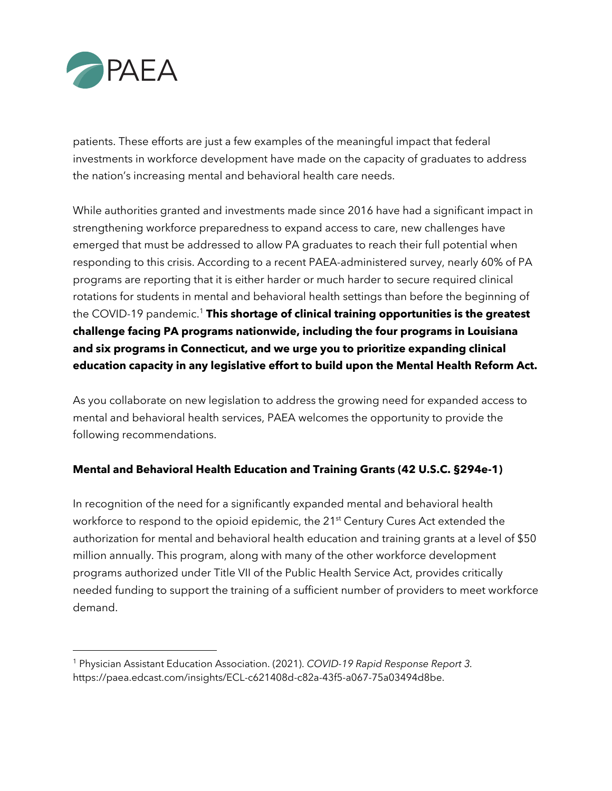

patients. These efforts are just a few examples of the meaningful impact that federal investments in workforce development have made on the capacity of graduates to address the nation's increasing mental and behavioral health care needs.

While authorities granted and investments made since 2016 have had a significant impact in strengthening workforce preparedness to expand access to care, new challenges have emerged that must be addressed to allow PA graduates to reach their full potential when responding to this crisis. According to a recent PAEA-administered survey, nearly 60% of PA programs are reporting that it is either harder or much harder to secure required clinical rotations for students in mental and behavioral health settings than before the beginning of the COVID-19 pandemic.<sup>1</sup> This shortage of clinical training opportunities is the greatest **challenge facing PA programs nationwide, including the four programs in Louisiana and six programs in Connecticut, and we urge you to prioritize expanding clinical education capacity in any legislative effort to build upon the Mental Health Reform Act.**

As you collaborate on new legislation to address the growing need for expanded access to mental and behavioral health services, PAEA welcomes the opportunity to provide the following recommendations.

## **Mental and Behavioral Health Education and Training Grants (42 U.S.C. §294e-1)**

In recognition of the need for a significantly expanded mental and behavioral health workforce to respond to the opioid epidemic, the 21<sup>st</sup> Century Cures Act extended the authorization for mental and behavioral health education and training grants at a level of \$50 million annually. This program, along with many of the other workforce development programs authorized under Title VII of the Public Health Service Act, provides critically needed funding to support the training of a sufficient number of providers to meet workforce demand.

<sup>1</sup> Physician Assistant Education Association. (2021). *COVID-19 Rapid Response Report 3.*  https://paea.edcast.com/insights/ECL-c621408d-c82a-43f5-a067-75a03494d8be.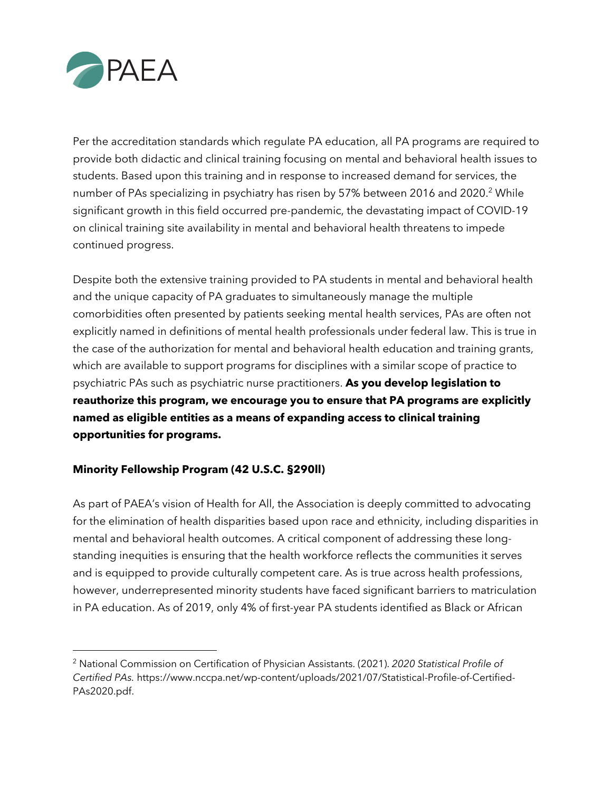

Per the accreditation standards which regulate PA education, all PA programs are required to provide both didactic and clinical training focusing on mental and behavioral health issues to students. Based upon this training and in response to increased demand for services, the number of PAs specializing in psychiatry has risen by 57% between 2016 and 2020.<sup>2</sup> While significant growth in this field occurred pre-pandemic, the devastating impact of COVID-19 on clinical training site availability in mental and behavioral health threatens to impede continued progress.

Despite both the extensive training provided to PA students in mental and behavioral health and the unique capacity of PA graduates to simultaneously manage the multiple comorbidities often presented by patients seeking mental health services, PAs are often not explicitly named in definitions of mental health professionals under federal law. This is true in the case of the authorization for mental and behavioral health education and training grants, which are available to support programs for disciplines with a similar scope of practice to psychiatric PAs such as psychiatric nurse practitioners. **As you develop legislation to reauthorize this program, we encourage you to ensure that PA programs are explicitly named as eligible entities as a means of expanding access to clinical training opportunities for programs.**

## **Minority Fellowship Program (42 U.S.C. §290ll)**

As part of PAEA's vision of Health for All, the Association is deeply committed to advocating for the elimination of health disparities based upon race and ethnicity, including disparities in mental and behavioral health outcomes. A critical component of addressing these longstanding inequities is ensuring that the health workforce reflects the communities it serves and is equipped to provide culturally competent care. As is true across health professions, however, underrepresented minority students have faced significant barriers to matriculation in PA education. As of 2019, only 4% of first-year PA students identified as Black or African

<sup>2</sup> National Commission on Certification of Physician Assistants. (2021). *2020 Statistical Profile of Certified PAs.* https://www.nccpa.net/wp-content/uploads/2021/07/Statistical-Profile-of-Certified-PAs2020.pdf.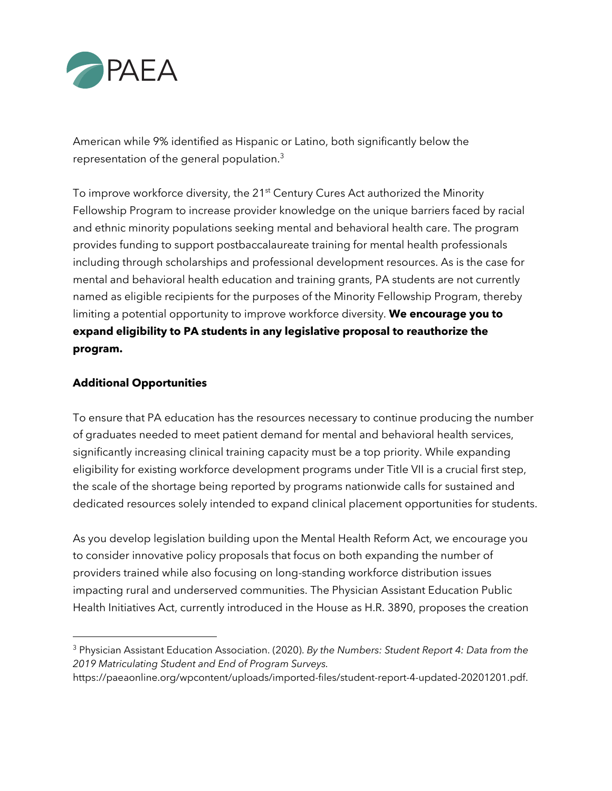

American while 9% identified as Hispanic or Latino, both significantly below the representation of the general population.<sup>3</sup>

To improve workforce diversity, the 21<sup>st</sup> Century Cures Act authorized the Minority Fellowship Program to increase provider knowledge on the unique barriers faced by racial and ethnic minority populations seeking mental and behavioral health care. The program provides funding to support postbaccalaureate training for mental health professionals including through scholarships and professional development resources. As is the case for mental and behavioral health education and training grants, PA students are not currently named as eligible recipients for the purposes of the Minority Fellowship Program, thereby limiting a potential opportunity to improve workforce diversity. **We encourage you to expand eligibility to PA students in any legislative proposal to reauthorize the program.**

## **Additional Opportunities**

To ensure that PA education has the resources necessary to continue producing the number of graduates needed to meet patient demand for mental and behavioral health services, significantly increasing clinical training capacity must be a top priority. While expanding eligibility for existing workforce development programs under Title VII is a crucial first step, the scale of the shortage being reported by programs nationwide calls for sustained and dedicated resources solely intended to expand clinical placement opportunities for students.

As you develop legislation building upon the Mental Health Reform Act, we encourage you to consider innovative policy proposals that focus on both expanding the number of providers trained while also focusing on long-standing workforce distribution issues impacting rural and underserved communities. The Physician Assistant Education Public Health Initiatives Act, currently introduced in the House as H.R. 3890, proposes the creation

<sup>3</sup> Physician Assistant Education Association. (2020). *By the Numbers: Student Report 4: Data from the 2019 Matriculating Student and End of Program Surveys.*

https://paeaonline.org/wpcontent/uploads/imported-files/student-report-4-updated-20201201.pdf.